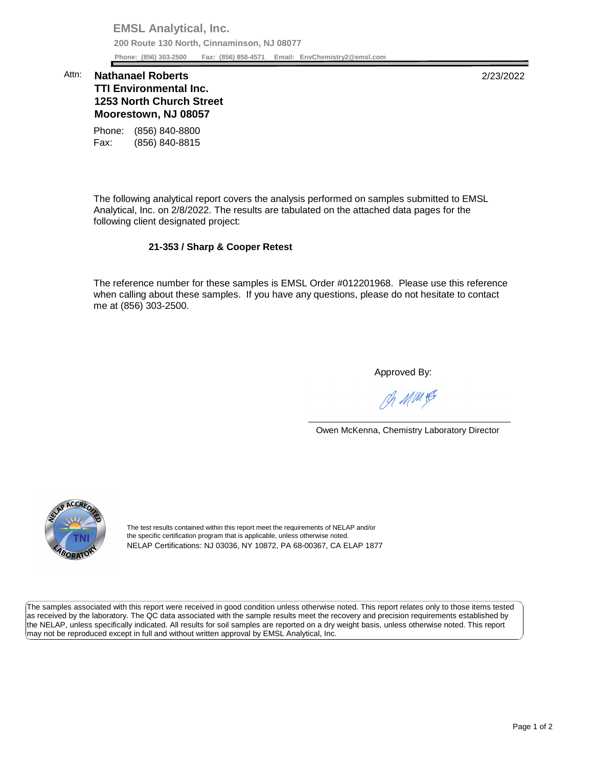**EMSL Analytical, Inc. 200 Route 130 North, Cinnaminson, NJ 08077 Phone: (856) 303-2500 Fax: (856) 858-4571 Email: [EnvChemistry2@emsl.com](mailto:EnvChemistry2@emsl.com)**  Phone: (856) 303-2500

## **Moorestown, NJ 08057**  Attn: **Nathanael Roberts** 2/23/2022 **TTI Environmental Inc. 1253 North Church Street**

Phone: (856) 840-8800 Fax: (856) 840-8815

 The following analytical report covers the analysis performed on samples submitted to EMSL Analytical, Inc. on 2/8/2022. The results are tabulated on the attached data pages for the following client designated project:

## **21-353 / Sharp & Cooper Retest**

 The reference number for these samples is EMSL Order #012201968. Please use this reference when calling about these samples. If you have any questions, please do not hesitate to contact me at (856) 303-2500.

Approved By:

Ph MMH

Owen McKenna, Chemistry Laboratory Director



The test results contained within this report meet the requirements of NELAP and/or the specific certification program that is applicable, unless otherwise noted. NELAP Certifications: NJ 03036, NY 10872, PA 68-00367, CA ELAP 1877

 The samples associated with this report were received in good condition unless otherwise noted. This report relates only to those items tested as received by the laboratory. The QC data associated with the sample results meet the recovery and precision requirements established by the NELAP, unless specifically indicated. All results for soil samples are reported on a dry weight basis, unless otherwise noted. This report may not be reproduced except in full and without written approval by EMSL Analytical, Inc.